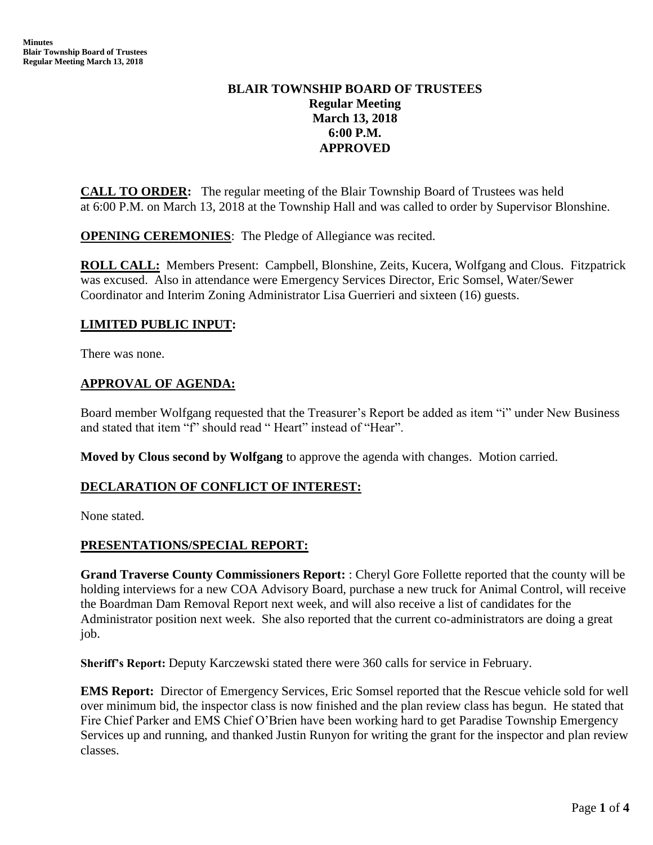# **BLAIR TOWNSHIP BOARD OF TRUSTEES Regular Meeting March 13, 2018 6:00 P.M. APPROVED**

**CALL TO ORDER:** The regular meeting of the Blair Township Board of Trustees was held at 6:00 P.M. on March 13, 2018 at the Township Hall and was called to order by Supervisor Blonshine.

**OPENING CEREMONIES**: The Pledge of Allegiance was recited.

**ROLL CALL:** Members Present: Campbell, Blonshine, Zeits, Kucera, Wolfgang and Clous. Fitzpatrick was excused. Also in attendance were Emergency Services Director, Eric Somsel, Water/Sewer Coordinator and Interim Zoning Administrator Lisa Guerrieri and sixteen (16) guests.

# **LIMITED PUBLIC INPUT:**

There was none.

# **APPROVAL OF AGENDA:**

Board member Wolfgang requested that the Treasurer's Report be added as item "i" under New Business and stated that item "f" should read " Heart" instead of "Hear".

**Moved by Clous second by Wolfgang** to approve the agenda with changes. Motion carried.

# **DECLARATION OF CONFLICT OF INTEREST:**

None stated.

# **PRESENTATIONS/SPECIAL REPORT:**

**Grand Traverse County Commissioners Report:** : Cheryl Gore Follette reported that the county will be holding interviews for a new COA Advisory Board, purchase a new truck for Animal Control, will receive the Boardman Dam Removal Report next week, and will also receive a list of candidates for the Administrator position next week. She also reported that the current co-administrators are doing a great job.

**Sheriff's Report:** Deputy Karczewski stated there were 360 calls for service in February.

**EMS Report:** Director of Emergency Services, Eric Somsel reported that the Rescue vehicle sold for well over minimum bid, the inspector class is now finished and the plan review class has begun. He stated that Fire Chief Parker and EMS Chief O'Brien have been working hard to get Paradise Township Emergency Services up and running, and thanked Justin Runyon for writing the grant for the inspector and plan review classes.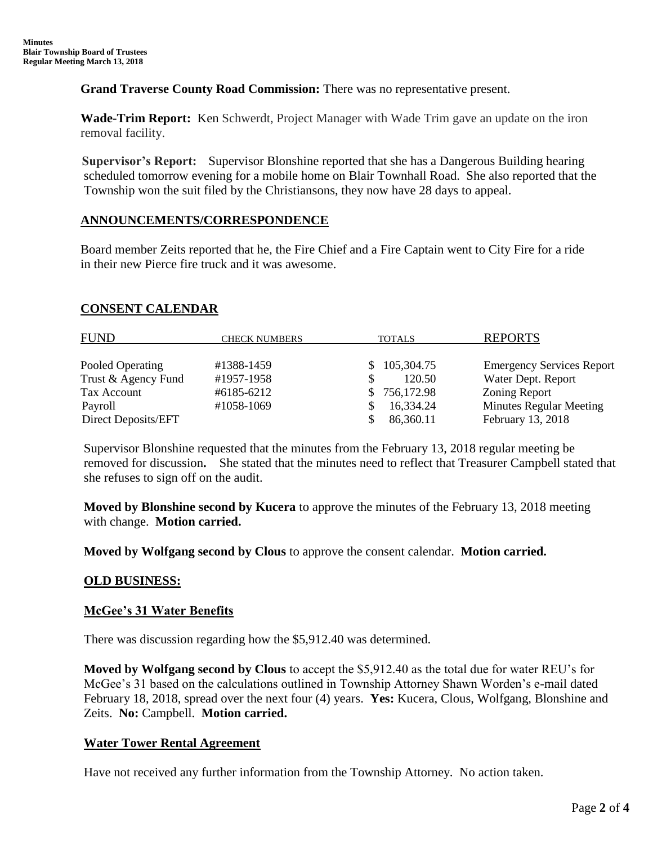**Grand Traverse County Road Commission:** There was no representative present.

**Wade-Trim Report:** Ken Schwerdt, Project Manager with Wade Trim gave an update on the iron removal facility.

 **Supervisor's Report:** Supervisor Blonshine reported that she has a Dangerous Building hearing scheduled tomorrow evening for a mobile home on Blair Townhall Road. She also reported that the Township won the suit filed by the Christiansons, they now have 28 days to appeal.

# **ANNOUNCEMENTS/CORRESPONDENCE**

 Board member Zeits reported that he, the Fire Chief and a Fire Captain went to City Fire for a ride in their new Pierce fire truck and it was awesome.

# **CONSENT CALENDAR**

| <b>FUND</b>         | <b>CHECK NUMBERS</b> | <b>TOTALS</b> | <b>REPORTS</b>                   |
|---------------------|----------------------|---------------|----------------------------------|
| Pooled Operating    | #1388-1459           | \$105,304.75  | <b>Emergency Services Report</b> |
| Trust & Agency Fund | #1957-1958           | 120.50        | Water Dept. Report               |
| Tax Account         | #6185-6212           | \$756,172.98  | <b>Zoning Report</b>             |
| Pavroll             | #1058-1069           | 16,334.24     | <b>Minutes Regular Meeting</b>   |
| Direct Deposits/EFT |                      | 86,360.11     | February 13, 2018                |

Supervisor Blonshine requested that the minutes from the February 13, 2018 regular meeting be removed for discussion**.** She stated that the minutes need to reflect that Treasurer Campbell stated that she refuses to sign off on the audit.

 **Moved by Blonshine second by Kucera** to approve the minutes of the February 13, 2018 meeting with change. **Motion carried.**

 **Moved by Wolfgang second by Clous** to approve the consent calendar. **Motion carried.**

# **OLD BUSINESS:**

# **McGee's 31 Water Benefits**

There was discussion regarding how the \$5,912.40 was determined.

 **Moved by Wolfgang second by Clous** to accept the \$5,912.40 as the total due for water REU's for McGee's 31 based on the calculations outlined in Township Attorney Shawn Worden's e-mail dated February 18, 2018, spread over the next four (4) years. **Yes:** Kucera, Clous, Wolfgang, Blonshine and Zeits. **No:** Campbell. **Motion carried.**

# **Water Tower Rental Agreement**

Have not received any further information from the Township Attorney. No action taken.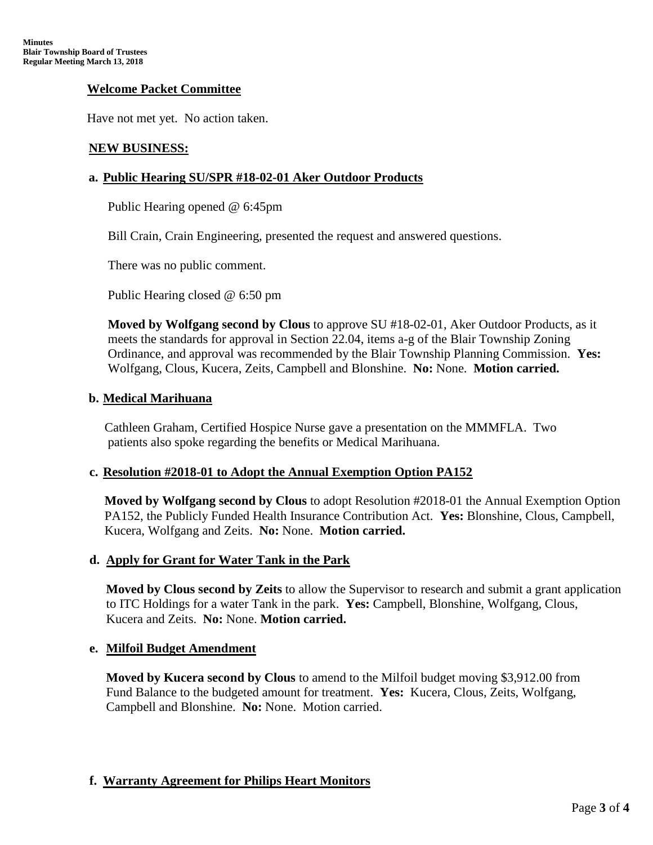### **Welcome Packet Committee**

Have not met yet. No action taken.

### **NEW BUSINESS:**

### **a. Public Hearing SU/SPR #18-02-01 Aker Outdoor Products**

Public Hearing opened @ 6:45pm

Bill Crain, Crain Engineering, presented the request and answered questions.

There was no public comment.

Public Hearing closed @ 6:50 pm

**Moved by Wolfgang second by Clous** to approve SU #18-02-01, Aker Outdoor Products, as it meets the standards for approval in Section 22.04, items a-g of the Blair Township Zoning Ordinance, and approval was recommended by the Blair Township Planning Commission. **Yes:** Wolfgang, Clous, Kucera, Zeits, Campbell and Blonshine. **No:** None. **Motion carried.**

### **b. Medical Marihuana**

Cathleen Graham, Certified Hospice Nurse gave a presentation on the MMMFLA. Two patients also spoke regarding the benefits or Medical Marihuana.

### **c. Resolution #2018-01 to Adopt the Annual Exemption Option PA152**

**Moved by Wolfgang second by Clous** to adopt Resolution #2018-01 the Annual Exemption Option PA152, the Publicly Funded Health Insurance Contribution Act. **Yes:** Blonshine, Clous, Campbell, Kucera, Wolfgang and Zeits. **No:** None. **Motion carried.**

### **d. Apply for Grant for Water Tank in the Park**

 **Moved by Clous second by Zeits** to allow the Supervisor to research and submit a grant application to ITC Holdings for a water Tank in the park. **Yes:** Campbell, Blonshine, Wolfgang, Clous, Kucera and Zeits. **No:** None. **Motion carried.**

### **e. Milfoil Budget Amendment**

 **Moved by Kucera second by Clous** to amend to the Milfoil budget moving \$3,912.00 from Fund Balance to the budgeted amount for treatment. **Yes:** Kucera, Clous, Zeits, Wolfgang, Campbell and Blonshine. **No:** None. Motion carried.

# **f. Warranty Agreement for Philips Heart Monitors**